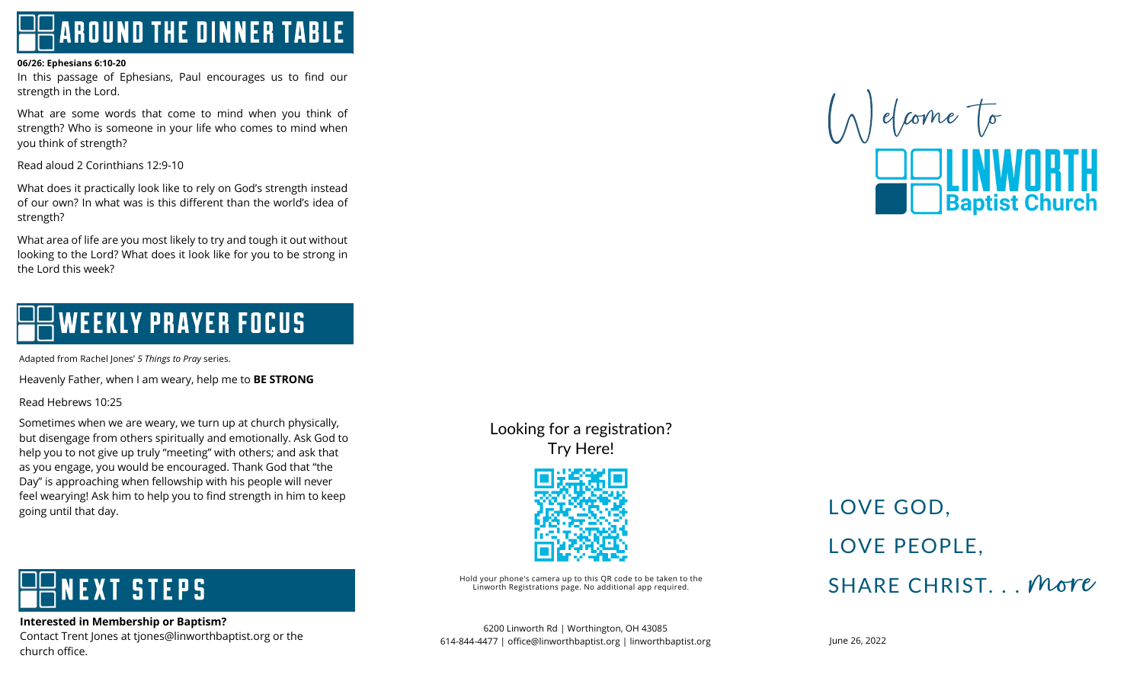**AROUND THE DINNER TABLE** 

#### **06/26: Ephesians 6:10-20**

In this passage of Ephesians, Paul encourages us to find our strength in the Lord.

 What are some words that come to mind when you think of you think of strength? strength? Who is someone in your life who comes to mind when

Read aloud 2 Corinthians 12:9-10

 What does it practically look like to rely on God's strength instead strength? of our own? In what was is this different than the world's idea of

 What area of life are you most likely to try and tough it out without looking to the Lord? What does it look like for you to be strong in the Lord this week?

#### ī **WEEKLY PRAYER FOCUS** ļ Ι Ì

Adapted from Rachel Jones' *5 Things to Pray* series.

Heavenly Father, when I am weary, help me to **BE STRONG**

 $\overline{a}$ Read Hebrews 10:25

 Sometimes when we are weary, we turn up at church physically, but disengage from others spiritually and emotionally. Ask God to help you to not give up truly "meeting" with others; and ask that Ĭ as you engage, you would be encouraged. Thank God that "the Day" is approaching when fellowship with his people will never feel wearying! Ask him to help you to find strength in him to keep going until that day.

## Looking for a registration? Try Here!



Hold your phone's camera up to this QR code to be taken to the<br>Linworth Registrations page. No additional app required.

#### 6200 Linworth Rd | Worthington, OH 43085 614-844-4477 | office@linworthbaptist.org | linworthbaptist.org

## LOVE GOD. LOVE PEOPLE. SHARE CHRIST... More



#### Ī **VEXT STEPS** ł I

 **Interested in Membership or Baptism?** merested in Membersing or Baptism.<br>Contact Trent Jones at tjones@linworthbaptist.org or the church office.

June 26, 2022